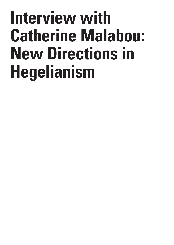## **Interview with Catherine Malabou: New Directions in Hegelianism**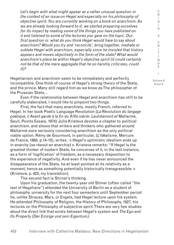*Let's begin with what might appear as a rather unusual question in the context of an issue on Hegel and especially on his philosophy of objective spirit. You are currently working on a book on anarchism. As we are already looking forward to it, we started preparing ourselves for its impact by reading some of the things you have published on it and listened to some of the lectures you gave on the topic. Our first question is: what do you think Hegel would have to say about anarchism? Would you try and 'reconcile', bring together, mediate or sublate Hegel with anarchism, especially since he insisted that history appears and moves objectively in the form of the state? What would anarchism's place be within Hegel's objective spirit (it could certainly not be that of the mere aggregate that he so harshly criticizes, could it)?*

Hegelianism and anarchism seem to be immediately and perfectly incompatible. One think of course of Hegel's strong theory of the State, and the prince. Many still regard him as we know as The philosopher of the Prussian State…

Even if the relationship between Hegel and anarchism has still to be carefully elaborated, I would like to pinpoint two things.

First, the fact that many anarchists, mostly French, referred to Hegel. In her book Poetic Language Revolution (*La Révolution du langage poétique, L'Avant-garde à la fin du XIXe siècle: Lautréamont et* Mallarmé, Seuil, Points Essais, 1974) Julia Kristeva devotes a chapter to political anarchism, and shows that writers and thinkers who gathered around Mallarmé were seriously considering anarchism as the only political viable option. Rémy de Gourmont, in particular, (*L'Idéalisme,* Mercure de France, 1893, p.14-15), writes : « Hegel's optimistic idealism ends up in anarchy (se résout en anarchie) ». Kristeva remarks: "If Hegel is the greatest thinker of modern State, he conceives of it, in the last instance, as a form of 'logification' of freedom, as a necessary disposition to the experience of negativity. And even if he has never announced the disappearance of the State, he at least pointed at its relativity as a moment, hence as something potentially historically transgressible. » (Kristeva, p. 423, my translation).

The second fact is Stirner's thinking.

Upon his graduation, the twenty-year old Stimer (often called "the last of Hegelians") attended the University of Berlin as a student of philosophy. university for the next four semesters until September period he, unlike Strauss, Marx, or Engels, had Hegel lecture upon his system. He attended Philosophy of Religion, the History of Philosophy, 1827, his lectures on the Philosophy of subjective spirit. There are very few studies about the direct link that exists between Hegel's system and *The Ego and Its Property (Der Einzige und sein Eigentum)*.

/ Volume 8 Issue 2

C R I S I S & C R I T  $\mathbf{I}$ Q U E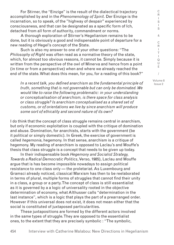For Stirner, the "Einzige" is the result of the dialectical trajectory accomplished by and in the *Phenomenology of Spirit*. Der Einzige is the incarnation, so to speak, of the "highway of despair" experienced by consciousness, and that can be designated as a specific form of Ich, detached from all form of authority, commandment or norms.

A thorough exploration of Stirner's Hegelianism remains to be done, but it is obviously a good and indispensable point of departure for a new reading of Hegel's concept of the State.

Such is also my answer to one of your other questions: "The *Philosophy of Right* was often read as a normative theory of the state, which, for almost too obvious reasons, it cannot be. Simply because it is written from the perspective of the owl of Minerva and hence from a point (in time or from a perspective) when and where we already reached the end of the state. What does this mean, for you, for a reading of this book?"

*In a recent talk, you defined anarchism as the fundamental principle of truth, something that is not governable but can only be dominated. We would like to raise the following problematic: in your understanding or conceptualisation of anarchism, is there space for class analysis or class struggle? Is anarchism conceptualised as a shared set of customs, or of orientations we live by since anarchism will produce some sort of ethicality and second nature of its own?*

I do think that the concept of class struggle remains central in anarchism, but only if economic exploitation is coupled with the critique of domination and abuse. Domination, for anarchists, starts with the government (be it political or simply domestic). In Greek, the exercise of government is called *hegemonia*, hegemony. In that sense, anarchism is a critique of hegemony. My reading of anarchism is opposed to Laclau's and Mouffe's thesis that class struggle is a concept that needs to be given up today.

In their indispensable book *Hegemony and Socialist Strategy, Towards a Radical Democratic Politics*, Verso, 1985), Laclau and Mouffe argue that is has become impossible nowadays to assign political resistance to one class only — the proletariat. As Luxembourg and Gramsci already noticed, classical Marxism has then to be reelaborated in terms of plural, multiple forms of struggles that cannot find their unity in a class, a group or a party. The concept of class is still essentialist as it is governed by a a logic of universality rooted in the objective determination of economy, what Althusser calls "determination in the last instance", which is a logic that plays the part of a prearranged order. However if this universal does not exist, it does not mean either that the social is constituted of juxtaposed particularities.

These juxtapositions are formed by the different actors involved in the same types of struggle. They are opposed to the essentialist ones, to the extent that they are precisely symbolic : "The symbolic,

I S & C R I T  $\mathbf{I}$ Q U E / Volume 8

C R I S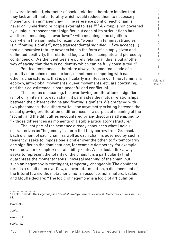ie overdetermined, character of social relations therefore implies that they lack an ultimate literality which would reduce them to necessary moments of an immanent law. <sup>1</sup> " The reference point of each chain is never an "underlying principle external to itself" <sup>2</sup> A group is not governed by a unique, transcendental signifier, but each of its articulations has a different meaning. It "overflows"  $^{\rm 3}$  with meanings, the signifiers overwhelm the signifieds. For example, "woman" in feminist struggles is a "floating signifier", not a transcendental signified. "If we accept (…) that a discursive totality never exists in the form of a simply given and delimited positivity, the relational logic will be incomplete and pierced by contingency… As the identities are purely relational, this is but another way of saying that there is no identity which can be fully constituted. <sup>4</sup> "

Political resistance is therefore always fragmented, made of a plurality of braches or connexions, sometimes competing with each other, a characteristic that is particularly manifest in our time : feminism, ecology, anti-global movements, queer movements, etc. are coexisting, and their co-existence is both peaceful and conflictual.

The surplus of meaning, the overflowing proliferation of signifiers is not only internal to each chain, it permeates the mutual relationships between the different chains and floating signifiers. We are faced with two phenomena, the authors write: "the asymmetry existing between the social growing proliferation of differences — a surplus of meaning of the 'social', and the difficulties encountered by any discourse attempting to fix those differences as moments of a stable articulatory structure.<sup>5</sup>"

The last part of the sentence already announces what Laclau characterizes as "hegemony", a term that they borrow from Gramsci. Each element of each chain, as well as each chain is governed by such a tendency, seeks to impose one signifier over the other, to fix temporarily one signifier as the dominant one, for example democracy, for example « me too », for example « sustainability », etc. A particular link always seeks to represent the totality of the chain. It is a particularity that guarantees the momentaneous universal meaning of the chain, but such an hegemony is contingent, temporary, changeable. The dominant term is a result of an overflow, an overdetermination, a displacement of the litteral toward the metaphoric, not an essence, not a nature. Laclau and Mouffe declare: "The logic of hegemony is a logic of articulation

2 *Ibid.*, 92.

3 *Ibid.*

4 *Ibid.*, 102.

5 *Ibid.,* 82.

S & C R I T  $\mathbf{I}$ Q U E / Volume 8

C R I S I

<sup>1</sup> Laclau and Mouffe, *Hegemony and Socialist Strategy, Towards a Radical Democratic Politics*, *op. cit.*, 84.

<sup>455</sup> Interview with Catherine Malabou: New Directions in Hegelianism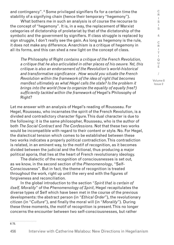and contingency".  $\mathop{\rm \mathsf {S}om}}$  privileged signifiers fix for a certain time the stability of a signifying chain (hence their temporary "hegemony").

What bothers me in such an analysis is of course the recourse to the concept of "hegemony". It is, in a way, the replacement of Marxist categories of dictatorship of proletariat by that of the dictatorship of the symbolic and the government by signifiers. If class struggle is replaced by sign struggle, I don't really see the gain. As long as hegemony is the rule, it does not make any difference. Anarchism is a critique of hegemony in all its forms, and this can shed a new light on the concept of class.

*The* Philosophy of Right *contains a critique of the French Revolution, a critique that he also articulated in other places of his oeuvre. Yet, this critique is also an endorsement of the Revolution's world-historical and transformative significance . How would you situate the French Revolution within the framework of the idea of right that becomes manifest ultimately as what Hegel calls the state? Is the problem it brings into the world (how to organize the equality of equally free?) sufficiently tackled within the framework of* Hegel's Philosophy of Right?

Let me answer with an analysis of Hegel's reading of Rousseau. For Hegel, Rousseau, who incarnates the spirit of the French Revolution, is a divided and contradictory character figure. This dual character is due to the following: it is the same philosopher, Rousseau, who is the author of both *The Social Contract* and *The Confessions*. Not that these two works would be incompatible with regard to their content or style. No. For Hegel, the dialectical tension which comes to be established between these two works indicates a properly political contradiction. This contradiction is related, in an eminent way, to the motif of recognition, as it becomes divided between the judicial and the fictional, thus producing a major political aporia, that lies at the heart of French revolutionary ideology.

The dialectic of the recognition of consciousnesses is set out, as we know, in the second section of the *Phenomenology*, "Self-Consciousness". But in fact, the theme of recognition is treated throughout the work, right up until the very end with the figures of forgiveness and reconciliation.

In the global introduction to the section "*Spirit that is certain of itself, Morality*" of the *Phenomenology of Spirit*, Hegel recapitulates the diverse types of Self which have been met in the course of the previous developments: the abstract person (in "*Ethical Order*"), the revolutionary citizen (in "*Culture*"), and finally the moral will (in "*Morality*"). During these three moments, the motif of recognition is present. This no longer concerns the encounter between two self-consciousnesses, but rather

6 75.

/ Volume 8 Issue 2

C R I S I S & C R I T  $\mathbf{I}$ Q U E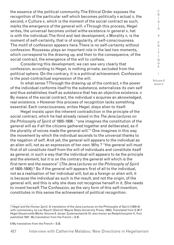the essence of the political community. The Ethical Order exposes the recognition of the particular self which becomes politically « actual », the second, « Culture », which is the moment of the social contract as such, marks the emergence of the general will. «Through this process, Hegel writes, the universal becomes united withe existence in general », hat is with the individual. The third and last development, « Morality », is the moment of self-certainty, that is of singularity, of self-consciousness. The motif of confession appears here. There is no self-certainty without confession. Rousseau plays an important role in the last two moments, which correspond to the drawing up, and then to the consequence, of the social contract, the emergence of the will to confess.

Considering this development, we can see very clearly that confession, according to Hegel, is nothing private, secluded from the political sphere. On the contrary, it is a political achievement. Confession is the post-contractual expression of the will.

In what sense ? Through the drawing up of the contract, « the power of the individual conforms itself to the substance, externalizes its own self and thus establishes itself as substance that has an objective existence. » By means of the social contract, the individual « acquires an aknowledged, real existence. » However this process of recognition lacks something essential. Each consciousness, writes Hegel, stays alien to itself.

Hegel insists upon the inherent contradiction in the principle of the social contract, which he had already raised in the *The Jena Lectures on the Philosophy of Spirit* of 1805-1806 : "one imagines the constitution of the general will as if all the citizens gathered together and deliberated, as if the plurality of voices made the general will."7 One imagines in this way the movement by which the individual ascends to the universal thanks to the negation of self. And yet, the general will appears to the individual as an alien will, not as an expression of her own. Why ? "the general will must first of all constitute itself from the will of individuals and constitute itself as general, in such a way that the individual will appears to be the principle and the element, but it is on the contrary the general will which is the first term and the essence" (*The Jena Lectures on the Philosophy of Spirit*  of 1805-1806).<sup>8</sup> So if the general will appears first of all to the individual, not as a realisation of her individual will, but as a foreign or alien will, it is because the individual as such is the result, and not the origin, of the general will, and this is why she does not recognise herself in it. She needs to invent herself. The Confession, as the very form of this self-invention, constitutes in this sense the achievement of political recognition.

8 My translation from the French – S.B.

S I S & C R I T  $\mathbf{I}$ Q U E / Volume 8

Issue 2

C R I

<sup>7</sup> *Hegel and the Human Spirit*. A translation of the Jena Lectures on the Philosophy of Spirit (1805-6) with commentary, by Leo Rauch (Detroit: Wayne State University Press, 1983). Translated from *G W F Hegel Gesammelte Werke*, Volume 8: *Jenaer Systementwürfe* III; also known as *Realphilosophie* II, first published 1931. My translation from the French – S.B.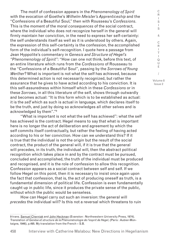The motif of confession appears in the *Phenomenology of Spirit* with the evocation of Goethe's *Wilhelm Meister's Apprenticeship* and the "Confessions of a Beautiful Soul," then with Rousseau's *Confessions*. This is the moment of the moral *consequences* of the social contract, where the individual who does not recognize herself in the general will firmly maintain her conviction, in the need to express her self-certainty: the self understands itself as well as it is understood by others. Again, the expression of this self-certainty is the confession, the accomplished form of the individual's self-recognition. I quote here a passage from Jean Hyppolite's commentary in *Genesis and Structure of Hegel's "Phenomenology of Spirit"*: "How can one not think, before this text, of an entire literature which runs from the *Confessions* of Rousseau to the "Confessions of a Beautiful Soul", passing by the *Sorrows of Young Werther*? What is important is not what the self has achieved, because this determined action is not necessarily recognized, but rather the assurance that he gives to have acted according to his conviction. It is this self-assuredness within himself which in these *Confessions* or in these *Sorrows*, in all this literature of the self, shows through outwardly and becomes actual: "It is this form which is to be established as actual: it is the *self* which as such is actual in language, which declares itself to be the truth, and just by doing so acknowledges all other selves and is acknowledged by them"."9

"What is important is not what the self has achieved": what the self has achieved is the contract. Hegel means to say that what is important here is no longer the act of deliberation and agreement by which the self commits itself contractually, but rather the feeling of having acted according to his or her conviction. How can we understand this? If it is true that the individual is not the origin but the result of the social contract, the product of the general will, if it is true that the general will precedes, in its truth, the individual will, then the abstract political recognition which takes place in and by the contract must be pursued, concluded and accomplished, the truth of the individual must be produced and recognised, and it is the role of confession to allow this recognition. Confession appears as a social contract between self and self. If we follow Hegel on this point, then it is necessary to insist once again upon the fact that confession, that is, the act of producing oneself as truth, is a fundamental dimension of political life. Confession is even fundamentally caught up in public life, since it produces the private sense of the public, without which the public would be senseless.

How can Hegel carry out such an inversion: the general will *precedes* the individual will? Is this not a reversal which threatens to ruin

R I S I S & C R I T I  $\Omega$ U E / Volume 8 Issue 2

C

<sup>9</sup> trans. Samuel Cherniak and John Heckman (Evanston: Northwestern University Press, 1974). Translation of *Genèse et structure de la Phénoménologie de l'esprit de Hegel*, (Paris : Aubier-Montaigne, 1946), p.495. My translation from the French – S.B.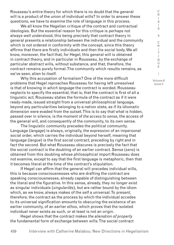Rousseau's entire theory for which there is no doubt that the general will is a product of the union of individual wills? In order to answer these questions, we have to examine the role of language in this process.

We all know the Hegelian critique of the contract and contractual ideologies. But the essential reason for this critique is perhaps not always well understood, this being precisely that contract theory in general presents a relationship between the individual and the community which is not ordered in conformity with the concept, since this theory affirms that there are firstly individuals and then the social body. We all know, moreover, the fact that, for Hegel, this general will is obtained in contract theory, and in particular in Rousseau, by the exchange of particular abstract wills, without substance, and that, therefore, the contract remains purely formal. The community which results remains, as we've seen, alien to itself.

Why this accusation of formalism? One of the more difficult problems that Hegel reproaches Rousseau for having left unresolved is that of knowing in *which language* the contract is worded. Rousseau neglects to specify the essential, that is, that the contract is first of all a linguistic act. Rousseau states the formula of the contract as if it were ready-made, issued straight from a universal philosophical language, beyond any particularities belonging to a nation state, as if its idiomatic dimension were evaded from the outset. This is to say that what is hidden, passed over in silence, is the moment of *the access to sense*, the access of the general will, and consequently of the community, to its own sense.

The linguistic community precedes the political community. Language (*langage*) is always, originally, the expression of an impersonal social order, which carries the individual beyond herself, meaning that language (*langue*) is the first social contract, preceding by right and in fact the second. But what Rousseau obscures is precisely the fact that the social contract is the doubling of an earlier contract. Sense (*sens*) is obtained from this doubling whose philosophical import Rousseau does not examine, except to say that the first language is metaphoric, then that it becomes literal at the time of the contract's stipulation.

If Hegel can affirm that the general will precedes individual wills, this is because consciousnesses who are drafting the contract are speaking consciousnesses, already capable of distinguishing between the literal and the figurative. In this sense, already, they no longer exist as singular individuals (*singularités*), but are rather bound by the idiom which, as we know, always makes of the self a universal. To present, therefore, the contract as the process by which the individual accedes to its universal signification amounts to obscuring the existence of an earlier community, of an earlier *ethos*, which proves that the isolated individual never exists as such, or at least is not an origin.

Hegel shows that the contract makes *the alienation of property* the fundamental form of exchange between wills. The social contract

E / Volume 8

C R  $\mathbf{I}$ S I S & C R I T  $\mathbf{I}$ Q U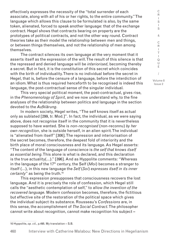effectively expresses the necessity of the "total surrender of each associate, along with all of his or her rights, to the entire community." The language which allows this clause to be formulated is also, by the same token, alienated, forced to speak another language: that of the exchange contract. Hegel shows that contracts bearing on property are the prototypes of political contracts, and not the other way round. Contract theories take as their model the relationship between men and things, or between things themselves, and not the relationship of men among themselves.

The contract silences its own language at the very moment that it asserts itself as the expression of the will. The result of this silence is that the repressed and denied language will be *interiorised*, becoming thereby a secret. But in fact, it is the constitution of this secret which coincides with the birth of individuality. There is no individual before the secret in Hegel, that is, before the censure of a language, before the interdiction of an idiom. What is thus required henceforth to be recognised is indeed this language, the post-contractual sense of the singular individual.

This very special political moment, the post-contractual, gives rise, in the *Phenomenology of Spirit*, and we now understand why, to the fine analyses of the relationship between politics and language in the section devoted to the *Aufklärung*.

In modern society, Hegel writes, "The self knows itself as actual only as sublated [299, tr. Mod.]". In fact, the individual, as we were saying above, does not recognise itself in the community that it is nevertheless supposed to have wanted. She is *non-recognised* (non-reconnu) *by her own recognition*, she is outside herself, in an alien spirit. The individual is "alienated from itself" [306]. The repression and interiorisation of the secret becomes, therefore, the deepest fold of interiority and the birth place of moral consciousness and its language. As Hegel asserts: "The content of the language of conscience is *the self that knows itself as essential being*. This alone is what is declared, and this declaration is the true actuality(…)." [396]. And as Hyppolite comments: "Whereas in the language of the 17th century, the Self (*Moi*) becomes a stranger to itself (…), in this new language the *Self* (*Soi*) *expresses itself in its inner certainty*" as being the truth.10

This expression presupposes that consciousness recovers the lost language. And it is precisely the role of confession, which Hegel still calls the "aesthetic contemplation of self," to allow *the invention of the recovered language*. Modern confession becomes, therefore, the fictitious but effective site of the restoration of the political space which gives the individual subject its substance. Rousseau's *Confessions* are, in this sense, the accomplishment of *The Social Contract*. The philosopher cannot write about recognition, cannot make recognition his subject –

C R  $\mathbf{I}$ S

<sup>10</sup> Hyppolite, *op. cit.*, p.495. My translation – S.B.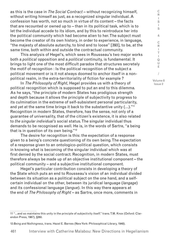as this is the case in *The Social Contract* – without recognizing himself, without writing himself as just, as a recognized singular individual. A confession has worth, not so much in virtue of its content – the facts that are recounted or owned up to – than in its political task, which is to let the individual accede to its idiom, and by this to reintroduce her into the political community which had become alien to her. The subject must become the creator of its own history, in order to experience, in language, "the majesty of absolute autarchy, to bind and to loose" [393], to be, at the same time, both within and outside the contractual community.

This analysis of Hegel's, which sees in Rousseau's two major works both a *political* opposition and a *political* continuity, is fundamental. It brings to light one of the most difficult paradox that structures secretely the motif of recognition : Is the political recognition of the subject a political movement or is it not always doomed to anchor itself in a nonpolitical realm, in the extra-territoriality of fiction for example ?

In *The Philosophy of Right*, Hegel provides us with a theory of political recognition which is supposed to put an end to this dilemma. As he says, "the principle of modern States has prodigious strength and depth because it allows the principle of subjectivity to progress to its culmination in the extreme of self-subsistent personal particularity, and yet at the same time brings it back to the substantive unity (…)."11 Recognition in modern States, therefore, has the sense, not only of a guarantee of universality, that of the citizen's existence, it is also related to *the singular individual's* social status. The singular individual thus demands to be recognised as well. He is, in the words of Sartre, "a being that is in question of its own being."12

The desire for recognition is this: the expectation of a response given to a being's concrete questioning of its own being. The expectation of a response given to an ontologico-political question, which consists in knowing what is becoming of the singular individual which was at first denied by the social contract. Recognition, in modern States, must therefore always be made up of an objective institutional component – the political community – and a subjective institutional component.

Hegel's particular contribution consists in developing a theory of the State which puts an end to Rousseau's vision of an individual divided between its situation as a political subject on the one hand, and a selfcertain individual on the other, between its juridical language (*langage*) and its confessional language (*langue*). In this way there appears at the end of *The Philosophy of Right* – as Sartre, once more, comments in

C R I T  $\mathbf{I}$ Q U E / Volume 8

Issue 2

C R I S I S &

<sup>11 &</sup>quot;…and so maintains this unity in the principle of subjectivity itself." trans. T.M. Knox (Oxford: Clarendon Press, 1967), §260.

<sup>12</sup> *Being and Nothingness*, trans. Hazel E. Barnes (New York: Philosophical Library, 1948).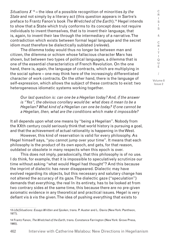*Situations X* 13 – the idea of a possible recognition of minorities *by the State* and not simply by a literary act (this question appears in Sartre's preface to Frantz Fanon's book *The Wretched of the Earth*).14 Hegel intends to show that a State which truly conforms to its concept does not require individuals to invent themselves, that is to invent their language, that is, again, to invent their law through the intermediary of a narrative. The contradiction which exists between formal legal language and the secret idiom must therefore be dialectically sublated (*relevée*).

The dilemma today would thus no longer be between man and citizen, the dilemma or schism whose fallacious character Marx has shown, but between two types of political languages, a dilemma that is one of the essential characteristics of French Revolution. On the one hand, there is, again, the language of contracts, which are multiplying in the social sphere – one may think here of the increasingly differentiated character of work contracts. On the other hand, there is the language of self-expression, which allows the subject of these contracts to exist: two heterogeneous idiomatic systems working together.

*Our last question is: can one be a Hegelian today? And, if the answer is "Yes", the obvious corollary would be: what does it mean to be a Hegelian? What kind of a Hegelian can one be today? If one cannot be a Hegelian, then, what are the conditions which make it impossible?* 

It all depends upon what one means by "being a Hegelian". Nobody from the XXth century could seriously think that world history is pursuing a goal, and that the achievement of actual rationality is happening in the West.

However, this kind of reservation is valid for every philosophy. As Hegel himself says, "you cannot jump over your time". It means that each philosophy is the product of its own epoch, and gets, for that reason, outdated or obsolete in many respects when this epoch is over.

This does not imply, paradoxically, that this philosophy is of no use. I do think, for example, that it is impossible to speculatively scrutinize our time without asking "what would Hegel had thought"? And this because the imprint of dialectic has never disappeared. Dialectic may have evolved regarding its objects, but this necessary and salutary change has not altered the accuracy of its gaze. The dialectic gaze ("speculation") demands that everything, the real In its entirety, has to be looked at from two contrary sides at the same time, this because there are no pre-given axiomatic evidence in any theoretical and practical issues. Hegel is very defiant vis à vis the given. The idea of pushing everything that exists to

S I S & C R I T  $\mathbf{I}$ Q U E / Volume 8 Issue 2

C R  $\mathbf{I}$ 

<sup>13</sup> *Life/Situations: Essays Written and Spoken*, trans. P. Auster and L. Davis (New York: Pantheon, 1977).

<sup>14</sup> Frantz Fanon, *The Wretched of the Earth*, trans. Constance Farrington (New York: Grove Press, 1965).